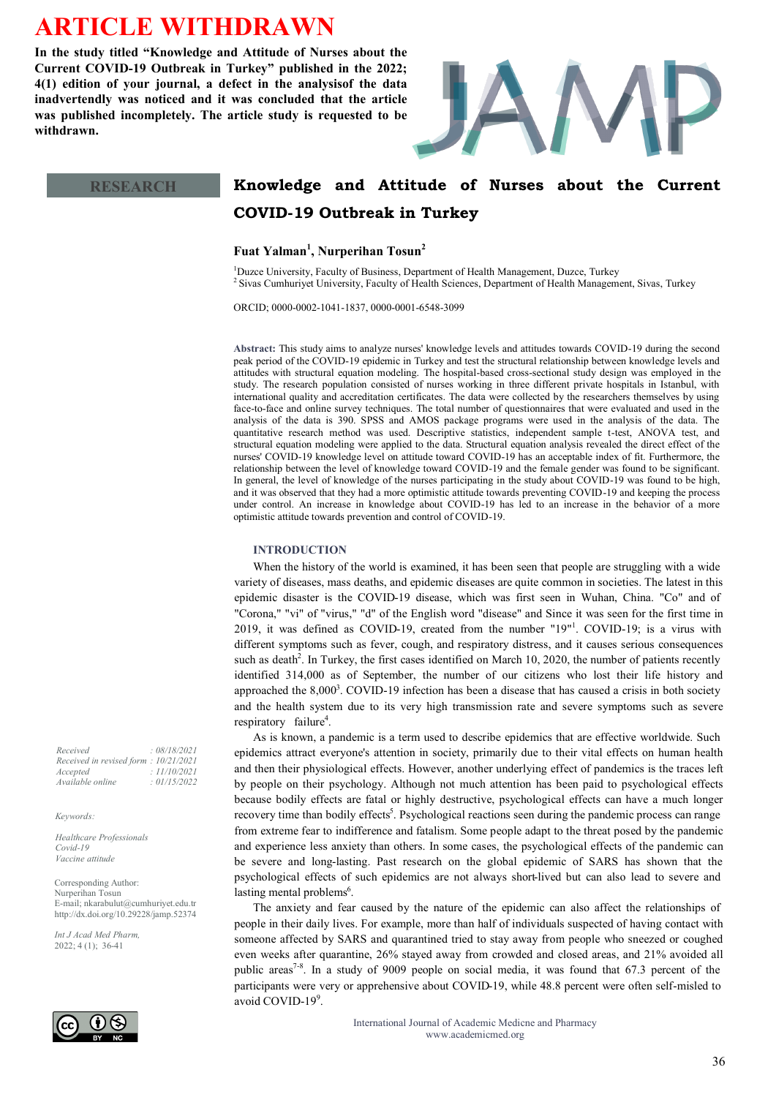# **ARTICLE WITHDRAWN**

**In the study titled "Knowledge and Attitude of Nurses about the Current COVID-19 Outbreak in Turkey" published in the 2022; 4(1) edition of your journal, a defect in the analysisof the data inadvertendly was noticed and it was concluded that the article was published incompletely. The article study is requested to be withdrawn.**



# **Knowledge and Attitude of Nurses about the Current COVID-19 Outbreak in Turkey**

**Fuat Yalman<sup>1</sup> , Nurperihan Tosun<sup>2</sup>**

<sup>1</sup>Duzce University, Faculty of Business, Department of Health Management, Duzce, Turkey <sup>2</sup> Sivas Cumhuriyet University, Faculty of Health Sciences, Department of Health Management, Sivas, Turkey

ORCID; 0000-0002-1041-1837, 0000-0001-6548-3099

**Abstract:** This study aims to analyze nurses' knowledge levels and attitudes towards COVID-19 during the second peak period of the COVID-19 epidemic in Turkey and test the structural relationship between knowledge levels and attitudes with structural equation modeling. The hospital-based cross-sectional study design was employed in the study. The research population consisted of nurses working in three different private hospitals in Istanbul, with international quality and accreditation certificates. The data were collected by the researchers themselves by using face-to-face and online survey techniques. The total number of questionnaires that were evaluated and used in the analysis of the data is 390. SPSS and AMOS package programs were used in the analysis of the data. The quantitative research method was used. Descriptive statistics, independent sample t-test, ANOVA test, and structural equation modeling were applied to the data. Structural equation analysis revealed the direct effect of the nurses' COVID-19 knowledge level on attitude toward COVID-19 has an acceptable index of fit. Furthermore, the relationship between the level of knowledge toward COVID-19 and the female gender was found to be significant. In general, the level of knowledge of the nurses participating in the study about COVID-19 was found to be high, and it was observed that they had a more optimistic attitude towards preventing COVID-19 and keeping the process under control. An increase in knowledge about COVID-19 has led to an increase in the behavior of a more optimistic attitude towards prevention and control of COVID-19.

# **INTRODUCTION**

When the history of the world is examined, it has been seen that people are struggling with a wide variety of diseases, mass deaths, and epidemic diseases are quite common in societies. The latest in this epidemic disaster is the COVID-19 disease, which was first seen in Wuhan, China. "Co" and of "Corona," "vi" of "virus," "d" of the English word "disease" and Since it was seen for the first time in 2019, it was defined as COVID-19, created from the number  $"19"$ <sup>1</sup>. COVID-19; is a virus with different symptoms such as fever, cough, and respiratory distress, and it causes serious consequences such as death<sup>2</sup>. In Turkey, the first cases identified on March 10, 2020, the number of patients recently identified 314,000 as of September, the number of our citizens who lost their life history and approached the  $8,000^3$ . COVID-19 infection has been a disease that has caused a crisis in both society and the health system due to its very high transmission rate and severe symptoms such as severe respiratory failure<sup>4</sup>.

As is known, a pandemic is a term used to describe epidemics that are effective worldwide. Such epidemics attract everyone's attention in society, primarily due to their vital effects on human health and then their physiological effects. However, another underlying effect of pandemics is the traces left by people on their psychology. Although not much attention has been paid to psychological effects because bodily effects are fatal or highly destructive, psychological effects can have a much longer recovery time than bodily effects<sup>5</sup>. Psychological reactions seen during the pandemic process can range from extreme fear to indifference and fatalism. Some people adapt to the threat posed by the pandemic and experience less anxiety than others. In some cases, the psychological effects of the pandemic can be severe and long-lasting. Past research on the global epidemic of SARS has shown that the psychological effects of such epidemics are not always short-lived but can also lead to severe and lasting mental problems<sup>6</sup>.

The anxiety and fear caused by the nature of the epidemic can also affect the relationships of people in their daily lives. For example, more than half of individuals suspected of having contact with someone affected by SARS and quarantined tried to stay away from people who sneezed or coughed even weeks after quarantine, 26% stayed away from crowded and closed areas, and 21% avoided all public areas<sup>7-8</sup>. In a study of 9009 people on social media, it was found that 67.3 percent of the participants were very or apprehensive about COVID-19, while 48.8 percent were often self-misled to avoid COVID-19<sup>9</sup>.

> International Journal of Academic Medicne and Pharmacy www.academicmed.org

**RESEARCH**

*Received : 08/18/2021 Received in revised form : 10/21/2021 Accepted : 11/10/2021 Available online : 01/15/2022*

#### *Keywords:*

*Healthcare Professionals Covid-19 Vaccine attitude* 

Corresponding Author: Nurperihan Tosun E-mail; nkarabulut@cumhuriyet.edu.tr http://dx.doi.org/10.29228/jamp.52374

*Int J Acad Med Pharm,* 2022; 4 (1); 36-41

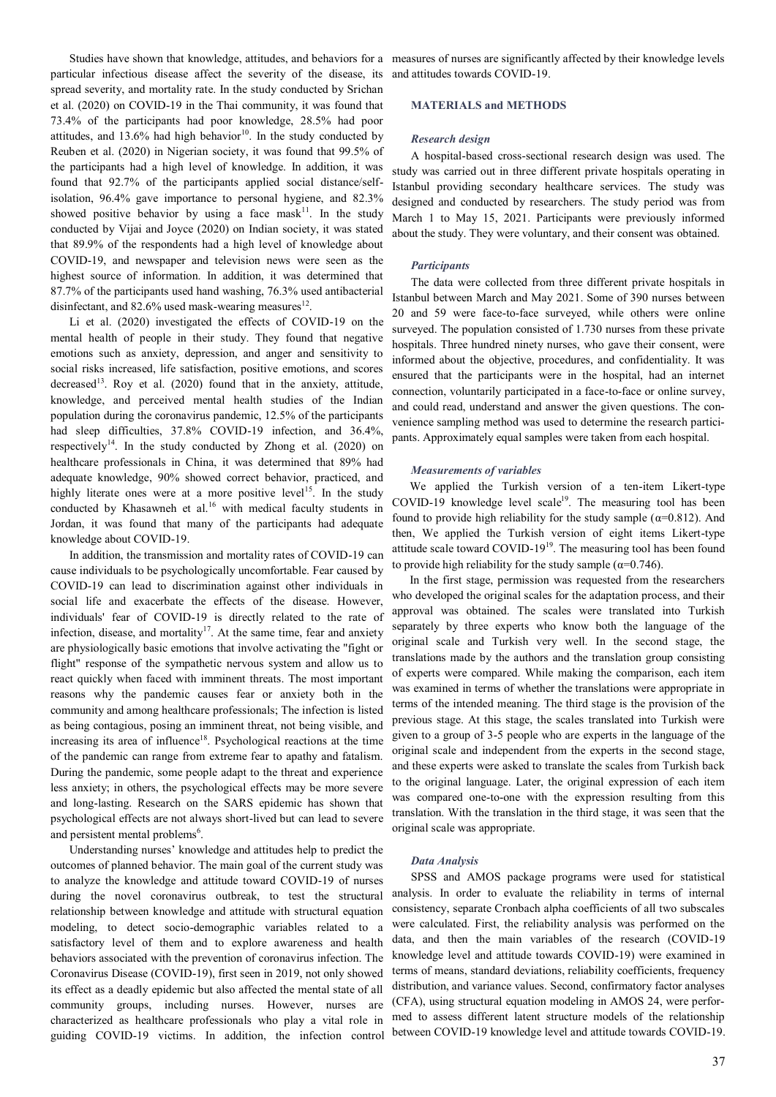particular infectious disease affect the severity of the disease, its and attitudes towards COVID-19. spread severity, and mortality rate. In the study conducted by Srichan et al. (2020) on COVID-19 in the Thai community, it was found that 73.4% of the participants had poor knowledge, 28.5% had poor attitudes, and 13.6% had high behavior<sup>10</sup>. In the study conducted by Reuben et al. (2020) in Nigerian society, it was found that 99.5% of the participants had a high level of knowledge. In addition, it was found that 92.7% of the participants applied social distance/selfisolation, 96.4% gave importance to personal hygiene, and 82.3% showed positive behavior by using a face mask $11$ . In the study conducted by Vijai and Joyce (2020) on Indian society, it was stated that 89.9% of the respondents had a high level of knowledge about COVID-19, and newspaper and television news were seen as the highest source of information. In addition, it was determined that 87.7% of the participants used hand washing, 76.3% used antibacterial disinfectant, and  $82.6\%$  used mask-wearing measures<sup>12</sup>.

Li et al. (2020) investigated the effects of COVID-19 on the mental health of people in their study. They found that negative emotions such as anxiety, depression, and anger and sensitivity to social risks increased, life satisfaction, positive emotions, and scores decreased<sup>13</sup>. Roy et al.  $(2020)$  found that in the anxiety, attitude, knowledge, and perceived mental health studies of the Indian population during the coronavirus pandemic, 12.5% of the participants had sleep difficulties,  $37.8\%$  COVID-19 infection, and  $36.4\%$ , respectively<sup>14</sup>. In the study conducted by Zhong et al.  $(2020)$  on healthcare professionals in China, it was determined that 89% had adequate knowledge, 90% showed correct behavior, practiced, and highly literate ones were at a more positive level<sup>15</sup>. In the study conducted by Khasawneh et al.<sup>16</sup> with medical faculty students in Jordan, it was found that many of the participants had adequate knowledge about COVID-19.

In addition, the transmission and mortality rates of COVID-19 can cause individuals to be psychologically uncomfortable. Fear caused by COVID-19 can lead to discrimination against other individuals in social life and exacerbate the effects of the disease. However, individuals' fear of COVID-19 is directly related to the rate of infection, disease, and mortality<sup>17</sup>. At the same time, fear and anxiety are physiologically basic emotions that involve activating the "fight or flight" response of the sympathetic nervous system and allow us to react quickly when faced with imminent threats. The most important reasons why the pandemic causes fear or anxiety both in the community and among healthcare professionals; The infection is listed as being contagious, posing an imminent threat, not being visible, and increasing its area of influence<sup>18</sup>. Psychological reactions at the time of the pandemic can range from extreme fear to apathy and fatalism. During the pandemic, some people adapt to the threat and experience less anxiety; in others, the psychological effects may be more severe and long-lasting. Research on the SARS epidemic has shown that psychological effects are not always short-lived but can lead to severe and persistent mental problems<sup>6</sup>.

Understanding nurses' knowledge and attitudes help to predict the outcomes of planned behavior. The main goal of the current study was to analyze the knowledge and attitude toward COVID-19 of nurses during the novel coronavirus outbreak, to test the structural relationship between knowledge and attitude with structural equation modeling, to detect socio-demographic variables related to a satisfactory level of them and to explore awareness and health behaviors associated with the prevention of coronavirus infection. The Coronavirus Disease (COVID-19), first seen in 2019, not only showed its effect as a deadly epidemic but also affected the mental state of all community groups, including nurses. However, nurses are characterized as healthcare professionals who play a vital role in guiding COVID-19 victims. In addition, the infection control

Studies have shown that knowledge, attitudes, and behaviors for a measures of nurses are significantly affected by their knowledge levels

# **MATERIALS and METHODS**

## *Research design*

A hospital-based cross-sectional research design was used. The study was carried out in three different private hospitals operating in Istanbul providing secondary healthcare services. The study was designed and conducted by researchers. The study period was from March 1 to May 15, 2021. Participants were previously informed about the study. They were voluntary, and their consent was obtained.

#### *Participants*

The data were collected from three different private hospitals in Istanbul between March and May 2021. Some of 390 nurses between 20 and 59 were face-to-face surveyed, while others were online surveyed. The population consisted of 1.730 nurses from these private hospitals. Three hundred ninety nurses, who gave their consent, were informed about the objective, procedures, and confidentiality. It was ensured that the participants were in the hospital, had an internet connection, voluntarily participated in a face-to-face or online survey, and could read, understand and answer the given questions. The convenience sampling method was used to determine the research participants. Approximately equal samples were taken from each hospital.

#### *Measurements of variables*

We applied the Turkish version of a ten-item Likert-type  $COVID-19$  knowledge level scale<sup>19</sup>. The measuring tool has been found to provide high reliability for the study sample ( $\alpha$ =0.812). And then, We applied the Turkish version of eight items Likert-type attitude scale toward COVID-19<sup>19</sup>. The measuring tool has been found to provide high reliability for the study sample ( $\alpha$ =0.746).

In the first stage, permission was requested from the researchers who developed the original scales for the adaptation process, and their approval was obtained. The scales were translated into Turkish separately by three experts who know both the language of the original scale and Turkish very well. In the second stage, the translations made by the authors and the translation group consisting of experts were compared. While making the comparison, each item was examined in terms of whether the translations were appropriate in terms of the intended meaning. The third stage is the provision of the previous stage. At this stage, the scales translated into Turkish were given to a group of 3-5 people who are experts in the language of the original scale and independent from the experts in the second stage, and these experts were asked to translate the scales from Turkish back to the original language. Later, the original expression of each item was compared one-to-one with the expression resulting from this translation. With the translation in the third stage, it was seen that the original scale was appropriate.

#### *Data Analysis*

SPSS and AMOS package programs were used for statistical analysis. In order to evaluate the reliability in terms of internal consistency, separate Cronbach alpha coefficients of all two subscales were calculated. First, the reliability analysis was performed on the data, and then the main variables of the research (COVID-19 knowledge level and attitude towards COVID-19) were examined in terms of means, standard deviations, reliability coefficients, frequency distribution, and variance values. Second, confirmatory factor analyses (CFA), using structural equation modeling in AMOS 24, were performed to assess different latent structure models of the relationship between COVID-19 knowledge level and attitude towards COVID-19.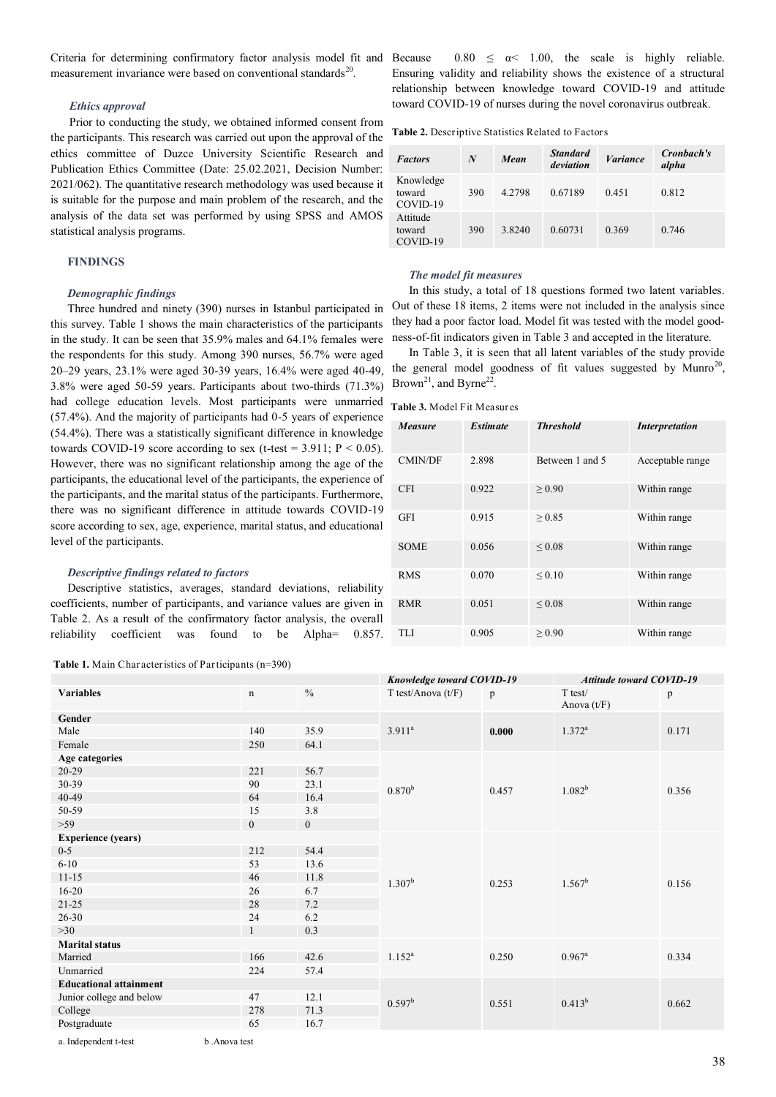Criteria for determining confirmatory factor analysis model fit and measurement invariance were based on conventional standards<sup>20</sup>.

# *Ethics approval*

Prior to conducting the study, we obtained informed consent from the participants. This research was carried out upon the approval of the ethics committee of Duzce University Scientific Research and Publication Ethics Committee (Date: 25.02.2021, Decision Number: 2021/062). The quantitative research methodology was used because it is suitable for the purpose and main problem of the research, and the analysis of the data set was performed by using SPSS and AMOS statistical analysis programs.

# **FINDINGS**

# *Demographic findings*

Three hundred and ninety (390) nurses in Istanbul participated in this survey. Table 1 shows the main characteristics of the participants in the study. It can be seen that 35.9% males and 64.1% females were the respondents for this study. Among 390 nurses, 56.7% were aged 20–29 years, 23.1% were aged 30-39 years, 16.4% were aged 40-49, 3.8% were aged 50-59 years. Participants about two-thirds (71.3%) had college education levels. Most participants were unmarried (57.4%). And the majority of participants had 0-5 years of experience (54.4%). There was a statistically significant difference in knowledge towards COVID-19 score according to sex (t-test =  $3.911$ ; P < 0.05). However, there was no significant relationship among the age of the participants, the educational level of the participants, the experience of the participants, and the marital status of the participants. Furthermore, there was no significant difference in attitude towards COVID-19 score according to sex, age, experience, marital status, and educational level of the participants.

#### *Descriptive findings related to factors*

Descriptive statistics, averages, standard deviations, reliability coefficients, number of participants, and variance values are given in Table 2. As a result of the confirmatory factor analysis, the overall reliability coefficient was found to be Alpha= 0.857.

**Table 1.** Main Characteristics of Participants (n=390)

 $0.80 \le \alpha \le 1.00$ , the scale is highly reliable. Ensuring validity and reliability shows the existence of a structural relationship between knowledge toward COVID-19 and attitude toward COVID-19 of nurses during the novel coronavirus outbreak.

#### **Table 2.** Descriptive Statistics Related to Factors

| <b>Factors</b>                  | N   | Mean   | <b>Standard</b><br>deviation | <i>Variance</i> | Cronbach's<br>alpha |
|---------------------------------|-----|--------|------------------------------|-----------------|---------------------|
| Knowledge<br>toward<br>COVID-19 | 390 | 4 2798 | 0.67189                      | 0.451           | 0.812               |
| Attitude<br>toward<br>COVID-19  | 390 | 3.8240 | 0.60731                      | 0.369           | 0.746               |

#### *The model fit measures*

In this study, a total of 18 questions formed two latent variables. Out of these 18 items, 2 items were not included in the analysis since they had a poor factor load. Model fit was tested with the model goodness-of-fit indicators given in Table 3 and accepted in the literature.

In Table 3, it is seen that all latent variables of the study provide the general model goodness of fit values suggested by Munro<sup>20</sup>, Brown<sup>21</sup>, and Byrne<sup>22</sup>.

**Table 3.** Model Fit Measures

| <b>Measure</b> | <b>Estimate</b> | <b>Threshold</b> | <b>Interpretation</b> |
|----------------|-----------------|------------------|-----------------------|
| <b>CMIN/DF</b> | 2.898           | Between 1 and 5  | Acceptable range      |
| <b>CFI</b>     | 0.922           | > 0.90           | Within range          |
| <b>GFI</b>     | 0.915           | > 0.85           | Within range          |
| <b>SOME</b>    | 0.056           | ${}_{0.08}$      | Within range          |
| <b>RMS</b>     | 0.070           | ${}_{0.10}$      | Within range          |
| <b>RMR</b>     | 0.051           | ${}_{0.08}$      | Within range          |
| TLI            | 0.905           | > 0.90           | Within range          |

|                               |                  |               |                               | <b>Knowledge toward COVID-19</b> |                            | <b>Attitude toward COVID-19</b> |  |
|-------------------------------|------------------|---------------|-------------------------------|----------------------------------|----------------------------|---------------------------------|--|
| <b>Variables</b>              | $\mathbf n$      | $\frac{0}{0}$ | $T \text{ test/Anova } (t/F)$ | p                                | $T$ test/<br>Anova $(t/F)$ | p                               |  |
| Gender                        |                  |               |                               |                                  |                            |                                 |  |
| Male                          | 140              | 35.9          | $3.911^{a}$                   | 0.000                            | $1.372^{\rm a}$            | 0.171                           |  |
| Female                        | 250              | 64.1          |                               |                                  |                            |                                 |  |
| Age categories                |                  |               |                               |                                  |                            |                                 |  |
| $20-29$                       | 221              | 56.7          |                               | 0.457                            |                            |                                 |  |
| 30-39                         | 90               | 23.1          | $0.870^{b}$                   |                                  | $1.082^{b}$                | 0.356                           |  |
| 40-49                         | 64               | 16.4          |                               |                                  |                            |                                 |  |
| 50-59                         | 15               | 3.8           |                               |                                  |                            |                                 |  |
| $>59$                         | $\boldsymbol{0}$ | $\mathbf{0}$  |                               |                                  |                            |                                 |  |
| <b>Experience (years)</b>     |                  |               |                               |                                  |                            |                                 |  |
| $0 - 5$                       | 212              | 54.4          |                               | 0.253                            |                            |                                 |  |
| $6 - 10$                      | 53               | 13.6          |                               |                                  |                            |                                 |  |
| $11 - 15$                     | 46               | 11.8          | $1.307^{\rm b}$               |                                  | $1.567^b$                  | 0.156                           |  |
| $16 - 20$                     | 26               | 6.7           |                               |                                  |                            |                                 |  |
| $21 - 25$                     | 28               | 7.2           |                               |                                  |                            |                                 |  |
| $26 - 30$                     | 24               | 6.2           |                               |                                  |                            |                                 |  |
| >30                           | $\mathbf{1}$     | 0.3           |                               |                                  |                            |                                 |  |
| <b>Marital status</b>         |                  |               |                               |                                  |                            |                                 |  |
| Married                       | 166              | 42.6          | $1.152^{a}$                   | 0.250                            | $0.967^{\rm a}$            | 0.334                           |  |
| Unmarried                     | 224              | 57.4          |                               |                                  |                            |                                 |  |
| <b>Educational attainment</b> |                  |               |                               |                                  |                            |                                 |  |
| Junior college and below      | 47               | 12.1          | $0.597^b$                     | 0.551                            | $0.413^{b}$                | 0.662                           |  |
| College                       | 278              | 71.3          |                               |                                  |                            |                                 |  |
| Postgraduate                  | 65               | 16.7          |                               |                                  |                            |                                 |  |
| a. Independent t-test         | b.Anova test     |               |                               |                                  |                            |                                 |  |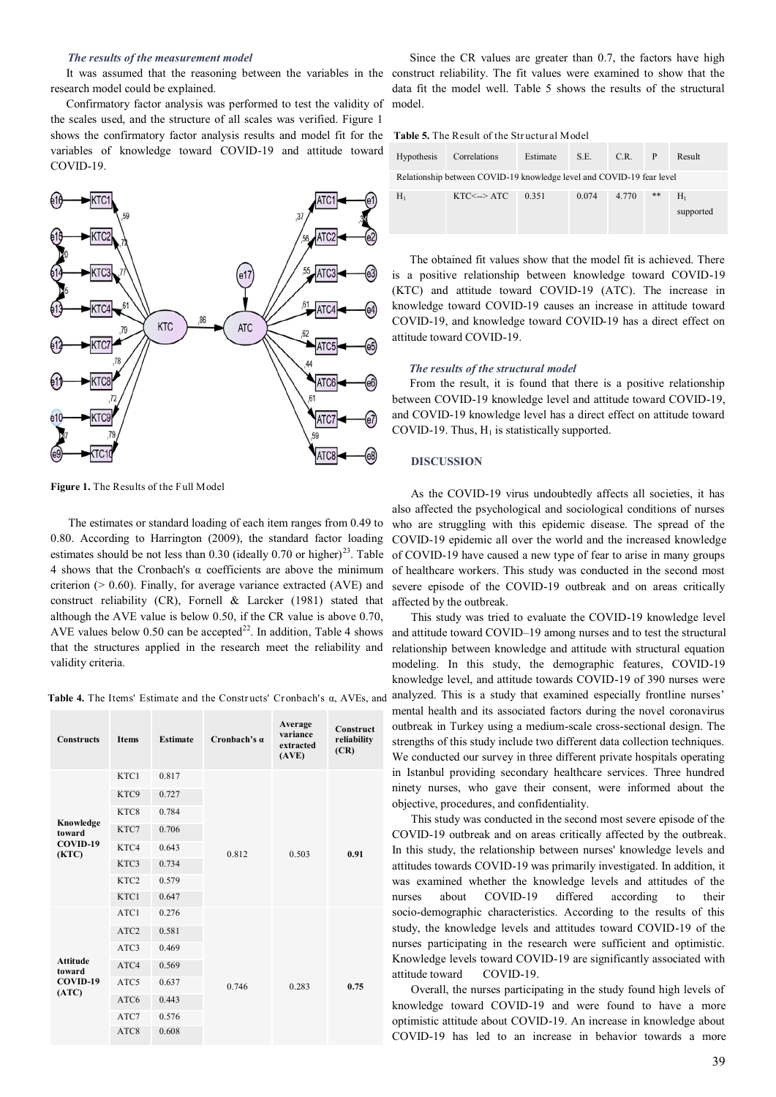#### *The results of the measurement model*

It was assumed that the reasoning between the variables in the research model could be explained.

Confirmatory factor analysis was performed to test the validity of the scales used, and the structure of all scales was verified. Figure 1 shows the confirmatory factor analysis results and model fit for the variables of knowledge toward COVID-19 and attitude toward COVID-19.



**Figure 1.** The Results of the Full Model

The estimates or standard loading of each item ranges from 0.49 to 0.80. According to Harrington (2009), the standard factor loading estimates should be not less than  $0.30$  (ideally  $0.70$  or higher)<sup>23</sup>. Table 4 shows that the Cronbach's  $\alpha$  coefficients are above the minimum criterion ( $> 0.60$ ). Finally, for average variance extracted (AVE) and construct reliability (CR), Fornell & Larcker (1981) stated that although the AVE value is below 0.50, if the CR value is above 0.70, AVE values below 0.50 can be accepted<sup>22</sup>. In addition, Table 4 shows that the structures applied in the research meet the reliability and validity criteria.

**Table 4.** The Items' Estimate and the Constr ucts' Cronbach's α, AVEs, and

| <b>Constructs</b>                              | <b>Items</b>     | <b>Estimate</b> | Cronbach's a | Average<br>variance<br>extracted<br>(AVE) | Construct<br>reliability<br>(CR) |
|------------------------------------------------|------------------|-----------------|--------------|-------------------------------------------|----------------------------------|
| Knowledge<br>toward<br>COVID-19<br>(KTC)       | KTC1             | 0.817           |              |                                           |                                  |
|                                                | KTC9             | 0.727           |              |                                           |                                  |
|                                                | KTC8             | 0.784           |              | 0.503                                     | 0.91                             |
|                                                | KTC7             | 0.706           |              |                                           |                                  |
|                                                | KTC4             | 0.643           | 0.812        |                                           |                                  |
|                                                | KTC3             | 0.734           |              |                                           |                                  |
|                                                | KTC <sub>2</sub> | 0.579           |              |                                           |                                  |
|                                                | KTC1             | 0.647           |              |                                           |                                  |
|                                                | ATC1             | 0.276           |              | 0.283                                     | 0.75                             |
|                                                | ATC <sub>2</sub> | 0.581           |              |                                           |                                  |
| <b>Attitude</b><br>toward<br>COVID-19<br>(ATC) | ATC3             | 0.469           |              |                                           |                                  |
|                                                | ATC4             | 0.569           | 0.746        |                                           |                                  |
|                                                | ATC5             | 0.637           |              |                                           |                                  |
|                                                | ATC <sub>6</sub> | 0.443           |              |                                           |                                  |
|                                                | ATC7             | 0.576           |              |                                           |                                  |
|                                                | ATC8             | 0.608           |              |                                           |                                  |

Since the CR values are greater than 0.7, the factors have high construct reliability. The fit values were examined to show that the data fit the model well. Table 5 shows the results of the structural model.

**Table 5.** The Result of the Str uctural Model

| <b>Hypothesis</b>                                                     | Correlations        | Estimate | S.E.  | C.R.  | -P | Result             |  |  |
|-----------------------------------------------------------------------|---------------------|----------|-------|-------|----|--------------------|--|--|
| Relationship between COVID-19 knowledge level and COVID-19 fear level |                     |          |       |       |    |                    |  |  |
| $H_1$                                                                 | $KTC\leq -\geq ATC$ | 0.351    | 0.074 | 4.770 | ** | $H_1$<br>supported |  |  |

The obtained fit values show that the model fit is achieved. There is a positive relationship between knowledge toward COVID-19 (KTC) and attitude toward COVID-19 (ATC). The increase in knowledge toward COVID-19 causes an increase in attitude toward COVID-19, and knowledge toward COVID-19 has a direct effect on attitude toward COVID-19.

#### *The results of the structural model*

From the result, it is found that there is a positive relationship between COVID-19 knowledge level and attitude toward COVID-19, and COVID-19 knowledge level has a direct effect on attitude toward COVID-19. Thus,  $H_1$  is statistically supported.

# **DISCUSSION**

As the COVID-19 virus undoubtedly affects all societies, it has also affected the psychological and sociological conditions of nurses who are struggling with this epidemic disease. The spread of the COVID-19 epidemic all over the world and the increased knowledge of COVID-19 have caused a new type of fear to arise in many groups of healthcare workers. This study was conducted in the second most severe episode of the COVID-19 outbreak and on areas critically affected by the outbreak.

This study was tried to evaluate the COVID-19 knowledge level and attitude toward COVID–19 among nurses and to test the structural relationship between knowledge and attitude with structural equation modeling. In this study, the demographic features, COVID-19 knowledge level, and attitude towards COVID-19 of 390 nurses were analyzed. This is a study that examined especially frontline nurses' mental health and its associated factors during the novel coronavirus outbreak in Turkey using a medium-scale cross-sectional design. The strengths of this study include two different data collection techniques. We conducted our survey in three different private hospitals operating in Istanbul providing secondary healthcare services. Three hundred ninety nurses, who gave their consent, were informed about the objective, procedures, and confidentiality.

This study was conducted in the second most severe episode of the COVID-19 outbreak and on areas critically affected by the outbreak. In this study, the relationship between nurses' knowledge levels and attitudes towards COVID-19 was primarily investigated. In addition, it was examined whether the knowledge levels and attitudes of the nurses about COVID-19 differed according to their socio-demographic characteristics. According to the results of this study, the knowledge levels and attitudes toward COVID-19 of the nurses participating in the research were sufficient and optimistic. Knowledge levels toward COVID-19 are significantly associated with attitude toward COVID-19.

Overall, the nurses participating in the study found high levels of knowledge toward COVID-19 and were found to have a more optimistic attitude about COVID-19. An increase in knowledge about COVID-19 has led to an increase in behavior towards a more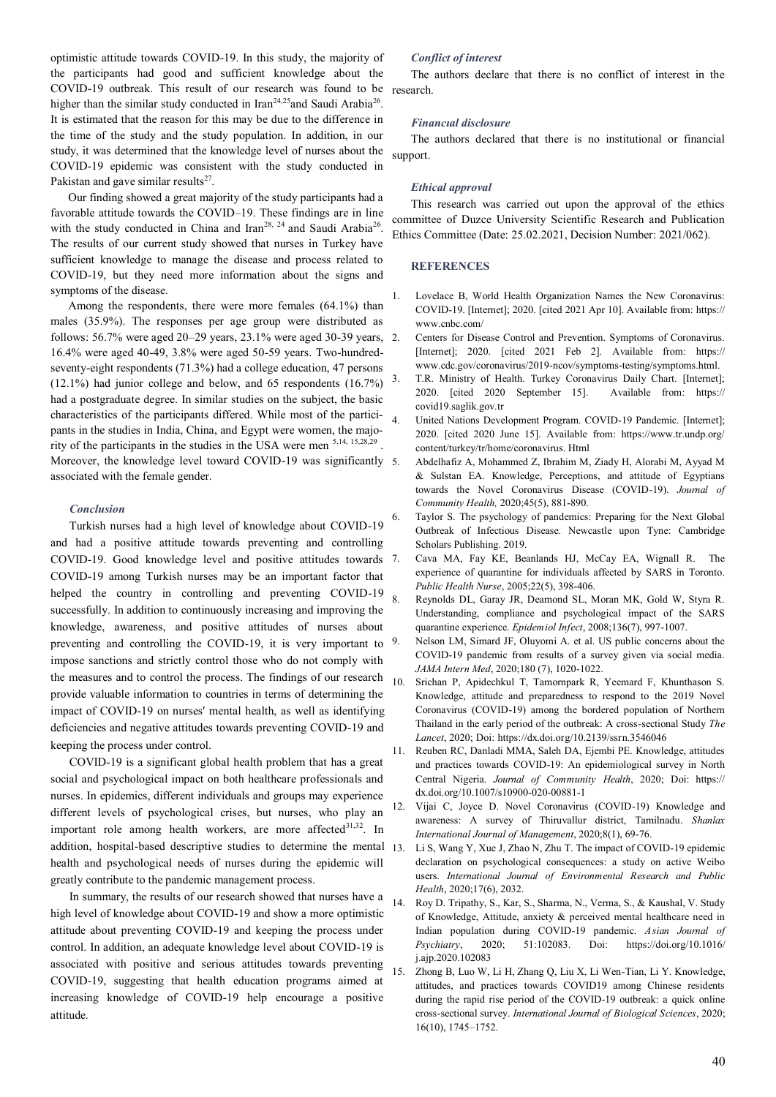optimistic attitude towards COVID-19. In this study, the majority of the participants had good and sufficient knowledge about the COVID-19 outbreak. This result of our research was found to be higher than the similar study conducted in Iran<sup>24,25</sup> and Saudi Arabia<sup>26</sup>. It is estimated that the reason for this may be due to the difference in the time of the study and the study population. In addition, in our study, it was determined that the knowledge level of nurses about the COVID-19 epidemic was consistent with the study conducted in Pakistan and gave similar results $27$ .

Our finding showed a great majority of the study participants had a favorable attitude towards the COVID–19. These findings are in line with the study conducted in China and Iran<sup>28, 24</sup> and Saudi Arabia<sup>26</sup>. The results of our current study showed that nurses in Turkey have sufficient knowledge to manage the disease and process related to COVID-19, but they need more information about the signs and symptoms of the disease.

Among the respondents, there were more females (64.1%) than males (35.9%). The responses per age group were distributed as follows: 56.7% were aged 20–29 years, 23.1% were aged 30-39 years, 16.4% were aged 40-49, 3.8% were aged 50-59 years. Two-hundredseventy-eight respondents (71.3%) had a college education, 47 persons (12.1%) had junior college and below, and 65 respondents (16.7%) had a postgraduate degree. In similar studies on the subject, the basic characteristics of the participants differed. While most of the participants in the studies in India, China, and Egypt were women, the majority of the participants in the studies in the USA were men  $5,14, 15,28,29$ . Moreover, the knowledge level toward COVID-19 was significantly 5. associated with the female gender.

# *Conclusion*

Turkish nurses had a high level of knowledge about COVID-19 and had a positive attitude towards preventing and controlling COVID-19. Good knowledge level and positive attitudes towards COVID-19 among Turkish nurses may be an important factor that helped the country in controlling and preventing COVID-19 successfully. In addition to continuously increasing and improving the knowledge, awareness, and positive attitudes of nurses about preventing and controlling the COVID-19, it is very important to impose sanctions and strictly control those who do not comply with the measures and to control the process. The findings of our research  $_{10}$ provide valuable information to countries in terms of determining the impact of COVID-19 on nurses' mental health, as well as identifying deficiencies and negative attitudes towards preventing COVID-19 and keeping the process under control.

COVID-19 is a significant global health problem that has a great social and psychological impact on both healthcare professionals and nurses. In epidemics, different individuals and groups may experience different levels of psychological crises, but nurses, who play an important role among health workers, are more affected<sup>31,32</sup>. In addition, hospital-based descriptive studies to determine the mental health and psychological needs of nurses during the epidemic will greatly contribute to the pandemic management process.

In summary, the results of our research showed that nurses have a high level of knowledge about COVID-19 and show a more optimistic attitude about preventing COVID-19 and keeping the process under control. In addition, an adequate knowledge level about COVID-19 is associated with positive and serious attitudes towards preventing COVID-19, suggesting that health education programs aimed at increasing knowledge of COVID-19 help encourage a positive attitude.

## *Conflict of interest*

The authors declare that there is no conflict of interest in the research.

#### *Financıal disclosure*

The authors declared that there is no institutional or financial support.

#### *Ethical approval*

This research was carried out upon the approval of the ethics committee of Duzce University Scientific Research and Publication Ethics Committee (Date: 25.02.2021, Decision Number: 2021/062).

# **REFERENCES**

- 1. Lovelace B, World Health Organization Names the New Coronavirus: COVID-19. [Internet]; 2020. [cited 2021 Apr 10]. Available from: [https://](https://www.cnbc.com/) [www.cnbc.com/](https://www.cnbc.com/)
- 2. Centers for Disease Control and Prevention. Symptoms of Coronavirus. [Internet]; 2020. [cited 2021 Feb 2]. Available from: [https://](https://www.cdc.gov/coronavirus/2019-ncov/symptoms-testing/symptoms.html) [www.cdc.gov/coronavirus/2019](https://www.cdc.gov/coronavirus/2019-ncov/symptoms-testing/symptoms.html)-ncov/symptoms-testing/symptoms.html.
- 3. T.R. Ministry of Health. Turkey Coronavirus Daily Chart. [Internet]; 2020. [cited 2020 September 15]. Available from: [https://](https://covid19.saglik.gov.tr) [covid19.saglik.gov.tr](https://covid19.saglik.gov.tr)
- United Nations Development Program. COVID-19 Pandemic. [Internet]; 2020. [cited 2020 June 15]. Available from: https://www.tr.undp.org/ content/turkey/tr/home/coronavirus. Html
- 5. Abdelhafiz A, Mohammed Z, Ibrahim M, Ziady H, Alorabi M, Ayyad M & Sulstan EA. Knowledge, Perceptions, and attitude of Egyptians towards the Novel Coronavirus Disease (COVID-19). *Journal of Community Health,* 2020;45(5), 881-890.
- Taylor S. The psychology of pandemics: Preparing for the Next Global Outbreak of Infectious Disease. Newcastle upon Tyne: Cambridge Scholars Publishing. 2019.
- 7. Cava MA, Fay KE, Beanlands HJ, McCay EA, Wignall R. The experience of quarantine for individuals affected by SARS in Toronto. *Public Health Nurse*, 2005;22(5), 398-406.
- 8. Reynolds DL, Garay JR, Deamond SL, Moran MK, Gold W, Styra R. Understanding, compliance and psychological impact of the SARS quarantine experience. *Epidemiol Infect*, 2008;136(7), 997-1007.
- 9. Nelson LM, Simard JF, Oluyomi A. et al. US public concerns about the COVID-19 pandemic from results of a survey given via social media. *JAMA Intern Med*, 2020;180 (7), 1020-1022.
- Srichan P, Apidechkul T, Tamornpark R, Yeemard F, Khunthason S. Knowledge, attitude and preparedness to respond to the 2019 Novel Coronavirus (COVID-19) among the bordered population of Northern Thailand in the early period of the outbreak: A cross-sectional Study *The Lancet*, 2020; Doi: <https://dx.doi.org/10.2139/ssrn.3546046>
- 11. Reuben RC, Danladi MMA, Saleh DA, Ejembi PE. Knowledge, attitudes and practices towards COVID-19: An epidemiological survey in North Central Nigeria. *Journal of Community Health*, 2020; Doi: [https://](https://dx.doi.org/10.1007/s10900-020-00881-1) [dx.doi.org/10.1007/s10900](https://dx.doi.org/10.1007/s10900-020-00881-1)-020-00881-1
- 12. Vijai C, Joyce D. Novel Coronavirus (COVID-19) Knowledge and awareness: A survey of Thiruvallur district, Tamilnadu. *Shanlax International Journal of Management*, 2020;8(1), 69-76.
- 13. Li S, Wang Y, Xue J, Zhao N, Zhu T. The impact of COVID-19 epidemic declaration on psychological consequences: a study on active Weibo users. *International Journal of Environmental Research and Public Health*, 2020;17(6), 2032.
- 14. Roy D. Tripathy, S., Kar, S., Sharma, N., Verma, S., & Kaushal, V. Study of Knowledge, Attitude, anxiety & perceived mental healthcare need in Indian population during COVID-19 pandemic. *Asian Journal of Psychiatry*, 2020; 51:102083. Doi: [https://doi.org/10.1016/](https://doi.org/10.1016/j.ajp.2020.102083) [j.ajp.2020.102083](https://doi.org/10.1016/j.ajp.2020.102083)
- 15. Zhong B, Luo W, Li H, Zhang Q, Liu X, Li Wen-Tian, Li Y. Knowledge, attitudes, and practices towards COVID19 among Chinese residents during the rapid rise period of the COVID-19 outbreak: a quick online cross-sectional survey. *International Journal of Biological Sciences*, 2020; 16(10), 1745–1752.